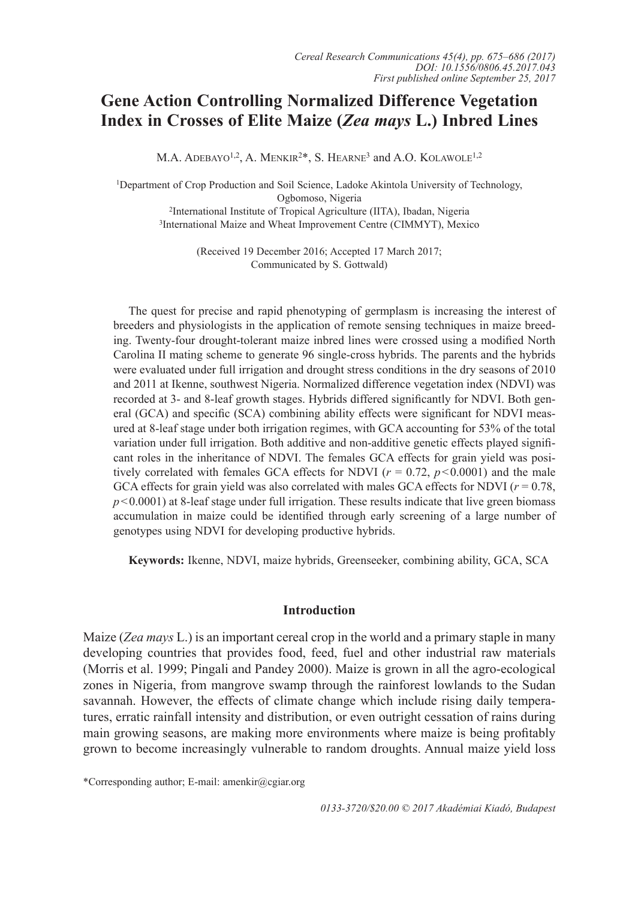# **Gene Action Controlling Normalized Difference Vegetation Index in Crosses of Elite Maize (***Zea mays* **L.) Inbred Lines**

M.A. ADEBAYO<sup>1,2</sup>, A. MENKIR<sup>2\*</sup>, S. HEARNE<sup>3</sup> and A.O. KOLAWOLE<sup>1,2</sup>

1Department of Crop Production and Soil Science, Ladoke Akintola University of Technology, Ogbomoso, Nigeria 2International Institute of Tropical Agriculture (IITA), Ibadan, Nigeria 3International Maize and Wheat Improvement Centre (CIMMYT), Mexico

> (Received 19 December 2016; Accepted 17 March 2017; Communicated by S. Gottwald)

The quest for precise and rapid phenotyping of germplasm is increasing the interest of breeders and physiologists in the application of remote sensing techniques in maize breeding. Twenty-four drought-tolerant maize inbred lines were crossed using a modified North Carolina II mating scheme to generate 96 single-cross hybrids. The parents and the hybrids were evaluated under full irrigation and drought stress conditions in the dry seasons of 2010 and 2011 at Ikenne, southwest Nigeria. Normalized difference vegetation index (NDVI) was recorded at 3- and 8-leaf growth stages. Hybrids differed significantly for NDVI. Both general (GCA) and specific (SCA) combining ability effects were significant for NDVI measured at 8-leaf stage under both irrigation regimes, with GCA accounting for 53% of the total variation under full irrigation. Both additive and non-additive genetic effects played significant roles in the inheritance of NDVI. The females GCA effects for grain yield was positively correlated with females GCA effects for NDVI ( $r = 0.72$ ,  $p < 0.0001$ ) and the male GCA effects for grain yield was also correlated with males GCA effects for NDVI  $(r = 0.78)$ ,  $p<0.0001$ ) at 8-leaf stage under full irrigation. These results indicate that live green biomass accumulation in maize could be identified through early screening of a large number of genotypes using NDVI for developing productive hybrids.

**Keywords:** Ikenne, NDVI, maize hybrids, Greenseeker, combining ability, GCA, SCA

#### **Introduction**

Maize (*Zea mays* L.) is an important cereal crop in the world and a primary staple in many developing countries that provides food, feed, fuel and other industrial raw materials (Morris et al. 1999; Pingali and Pandey 2000). Maize is grown in all the agro-ecological zones in Nigeria, from mangrove swamp through the rainforest lowlands to the Sudan savannah. However, the effects of climate change which include rising daily temperatures, erratic rainfall intensity and distribution, or even outright cessation of rains during main growing seasons, are making more environments where maize is being profitably grown to become increasingly vulnerable to random droughts. Annual maize yield loss

\*Corresponding author; E-mail: amenkir@cgiar.org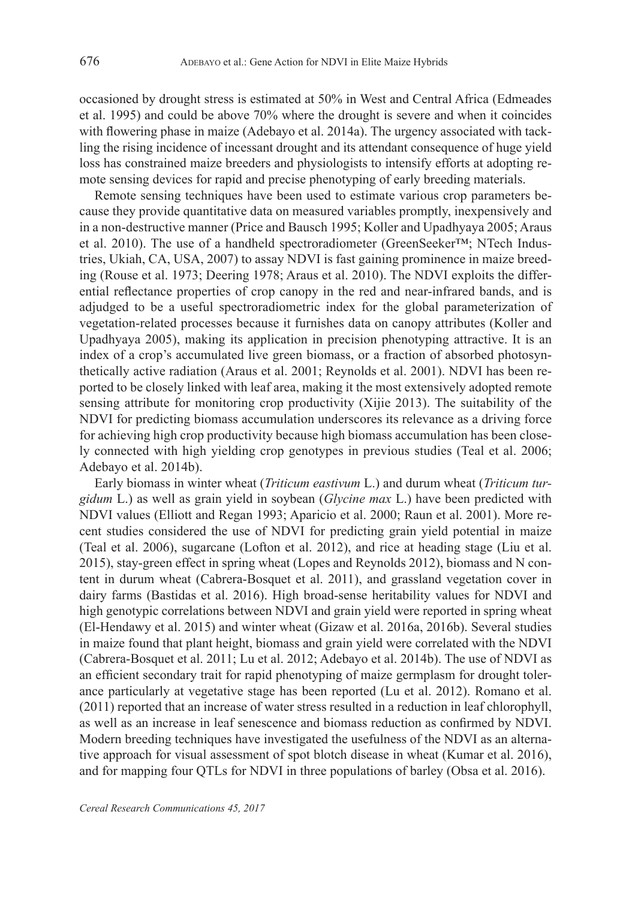occasioned by drought stress is estimated at 50% in West and Central Africa (Edmeades et al. 1995) and could be above 70% where the drought is severe and when it coincides with flowering phase in maize (Adebayo et al. 2014a). The urgency associated with tackling the rising incidence of incessant drought and its attendant consequence of huge yield loss has constrained maize breeders and physiologists to intensify efforts at adopting remote sensing devices for rapid and precise phenotyping of early breeding materials.

Remote sensing techniques have been used to estimate various crop parameters because they provide quantitative data on measured variables promptly, inexpensively and in a non-destructive manner (Price and Bausch 1995; Koller and Upadhyaya 2005; Araus et al. 2010). The use of a handheld spectroradiometer (GreenSeeker™; NTech Industries, Ukiah, CA, USA, 2007) to assay NDVI is fast gaining prominence in maize breeding (Rouse et al. 1973; Deering 1978; Araus et al. 2010). The NDVI exploits the differential reflectance properties of crop canopy in the red and near-infrared bands, and is adjudged to be a useful spectroradiometric index for the global parameterization of vegetation-related processes because it furnishes data on canopy attributes (Koller and Upadhyaya 2005), making its application in precision phenotyping attractive. It is an index of a crop's accumulated live green biomass, or a fraction of absorbed photosynthetically active radiation (Araus et al. 2001; Reynolds et al. 2001). NDVI has been reported to be closely linked with leaf area, making it the most extensively adopted remote sensing attribute for monitoring crop productivity (Xijie 2013). The suitability of the NDVI for predicting biomass accumulation underscores its relevance as a driving force for achieving high crop productivity because high biomass accumulation has been closely connected with high yielding crop genotypes in previous studies (Teal et al. 2006; Adebayo et al. 2014b).

Early biomass in winter wheat (*Triticum eastivum* L.) and durum wheat (*Triticum turgidum* L.) as well as grain yield in soybean (*Glycine max* L.) have been predicted with NDVI values (Elliott and Regan 1993; Aparicio et al. 2000; Raun et al. 2001). More recent studies considered the use of NDVI for predicting grain yield potential in maize (Teal et al. 2006), sugarcane (Lofton et al. 2012), and rice at heading stage (Liu et al. 2015), stay-green effect in spring wheat (Lopes and Reynolds 2012), biomass and N content in durum wheat (Cabrera-Bosquet et al. 2011), and grassland vegetation cover in dairy farms (Bastidas et al. 2016). High broad-sense heritability values for NDVI and high genotypic correlations between NDVI and grain yield were reported in spring wheat (El-Hendawy et al. 2015) and winter wheat (Gizaw et al. 2016a, 2016b). Several studies in maize found that plant height, biomass and grain yield were correlated with the NDVI (Cabrera-Bosquet et al. 2011; Lu et al. 2012; Adebayo et al. 2014b). The use of NDVI as an efficient secondary trait for rapid phenotyping of maize germplasm for drought tolerance particularly at vegetative stage has been reported (Lu et al. 2012). Romano et al. (2011) reported that an increase of water stress resulted in a reduction in leaf chlorophyll, as well as an increase in leaf senescence and biomass reduction as confirmed by NDVI. Modern breeding techniques have investigated the usefulness of the NDVI as an alternative approach for visual assessment of spot blotch disease in wheat (Kumar et al. 2016), and for mapping four QTLs for NDVI in three populations of barley (Obsa et al. 2016).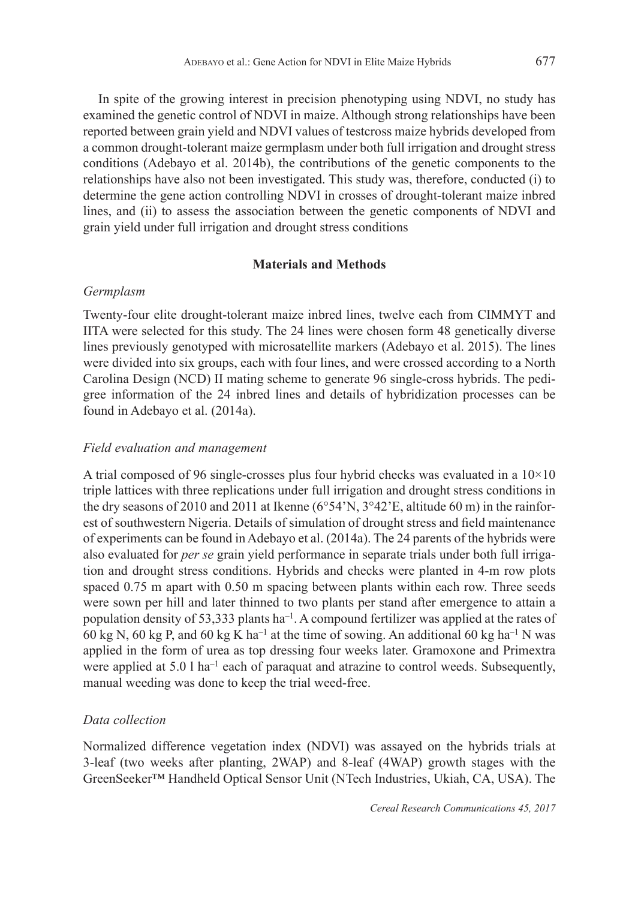In spite of the growing interest in precision phenotyping using NDVI, no study has examined the genetic control of NDVI in maize. Although strong relationships have been reported between grain yield and NDVI values of testcross maize hybrids developed from a common drought-tolerant maize germplasm under both full irrigation and drought stress conditions (Adebayo et al. 2014b), the contributions of the genetic components to the relationships have also not been investigated. This study was, therefore, conducted (i) to determine the gene action controlling NDVI in crosses of drought-tolerant maize inbred lines, and (ii) to assess the association between the genetic components of NDVI and grain yield under full irrigation and drought stress conditions

## **Materials and Methods**

## *Germplasm*

Twenty-four elite drought-tolerant maize inbred lines, twelve each from CIMMYT and IITA were selected for this study. The 24 lines were chosen form 48 genetically diverse lines previously genotyped with microsatellite markers (Adebayo et al. 2015). The lines were divided into six groups, each with four lines, and were crossed according to a North Carolina Design (NCD) II mating scheme to generate 96 single-cross hybrids. The pedigree information of the 24 inbred lines and details of hybridization processes can be found in Adebayo et al. (2014a).

## *Field evaluation and management*

A trial composed of 96 single-crosses plus four hybrid checks was evaluated in a  $10\times10$ triple lattices with three replications under full irrigation and drought stress conditions in the dry seasons of 2010 and 2011 at Ikenne (6°54'N, 3°42'E, altitude 60 m) in the rainforest of southwestern Nigeria. Details of simulation of drought stress and field maintenance of experiments can be found in Adebayo et al. (2014a). The 24 parents of the hybrids were also evaluated for *per se* grain yield performance in separate trials under both full irrigation and drought stress conditions. Hybrids and checks were planted in 4-m row plots spaced 0.75 m apart with 0.50 m spacing between plants within each row. Three seeds were sown per hill and later thinned to two plants per stand after emergence to attain a population density of 53,333 plants ha–1. A compound fertilizer was applied at the rates of 60 kg N, 60 kg P, and 60 kg K ha<sup>-1</sup> at the time of sowing. An additional 60 kg ha<sup>-1</sup> N was applied in the form of urea as top dressing four weeks later. Gramoxone and Primextra were applied at 5.0 l ha<sup>-1</sup> each of paraquat and atrazine to control weeds. Subsequently, manual weeding was done to keep the trial weed-free.

## *Data collection*

Normalized difference vegetation index (NDVI) was assayed on the hybrids trials at 3-leaf (two weeks after planting, 2WAP) and 8-leaf (4WAP) growth stages with the GreenSeeker™ Handheld Optical Sensor Unit (NTech Industries, Ukiah, CA, USA). The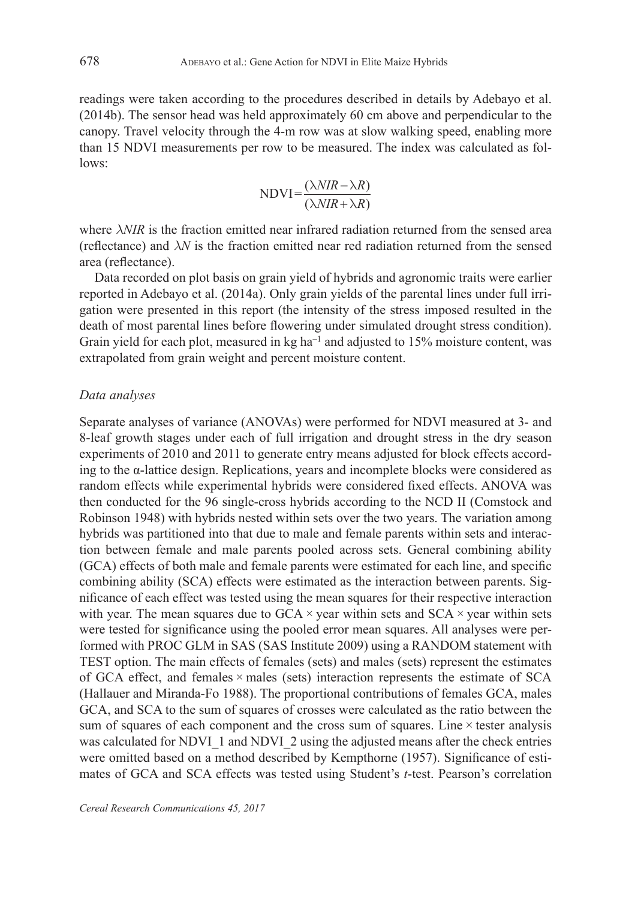readings were taken according to the procedures described in details by Adebayo et al. (2014b). The sensor head was held approximately 60 cm above and perpendicular to the canopy. Travel velocity through the 4-m row was at slow walking speed, enabling more than 15 NDVI measurements per row to be measured. The index was calculated as follows:

$$
NDVI = \frac{(\lambda NIR - \lambda R)}{(\lambda NIR + \lambda R)}
$$

where  $\lambda$ *NIR* is the fraction emitted near infrared radiation returned from the sensed area (reflectance) and  $\lambda N$  is the fraction emitted near red radiation returned from the sensed area (reflectance).

Data recorded on plot basis on grain yield of hybrids and agronomic traits were earlier reported in Adebayo et al. (2014a). Only grain yields of the parental lines under full irrigation were presented in this report (the intensity of the stress imposed resulted in the death of most parental lines before flowering under simulated drought stress condition). Grain yield for each plot, measured in kg ha<sup>-1</sup> and adjusted to 15% moisture content, was extrapolated from grain weight and percent moisture content.

#### *Data analyses*

Separate analyses of variance (ANOVAs) were performed for NDVI measured at 3- and 8-leaf growth stages under each of full irrigation and drought stress in the dry season experiments of 2010 and 2011 to generate entry means adjusted for block effects according to the α-lattice design. Replications, years and incomplete blocks were considered as random effects while experimental hybrids were considered fixed effects. ANOVA was then conducted for the 96 single-cross hybrids according to the NCD II (Comstock and Robinson 1948) with hybrids nested within sets over the two years. The variation among hybrids was partitioned into that due to male and female parents within sets and interaction between female and male parents pooled across sets. General combining ability (GCA) effects of both male and female parents were estimated for each line, and specific combining ability (SCA) effects were estimated as the interaction between parents. Significance of each effect was tested using the mean squares for their respective interaction with year. The mean squares due to  $GCA \times year$  within sets and  $SCA \times year$  within sets were tested for significance using the pooled error mean squares. All analyses were performed with PROC GLM in SAS (SAS Institute 2009) using a RANDOM statement with TEST option. The main effects of females (sets) and males (sets) represent the estimates of GCA effect, and females × males (sets) interaction represents the estimate of SCA (Hallauer and Miranda-Fo 1988). The proportional contributions of females GCA, males GCA, and SCA to the sum of squares of crosses were calculated as the ratio between the sum of squares of each component and the cross sum of squares. Line  $\times$  tester analysis was calculated for NDVI\_1 and NDVI\_2 using the adjusted means after the check entries were omitted based on a method described by Kempthorne (1957). Significance of estimates of GCA and SCA effects was tested using Student's *t*-test. Pearson's correlation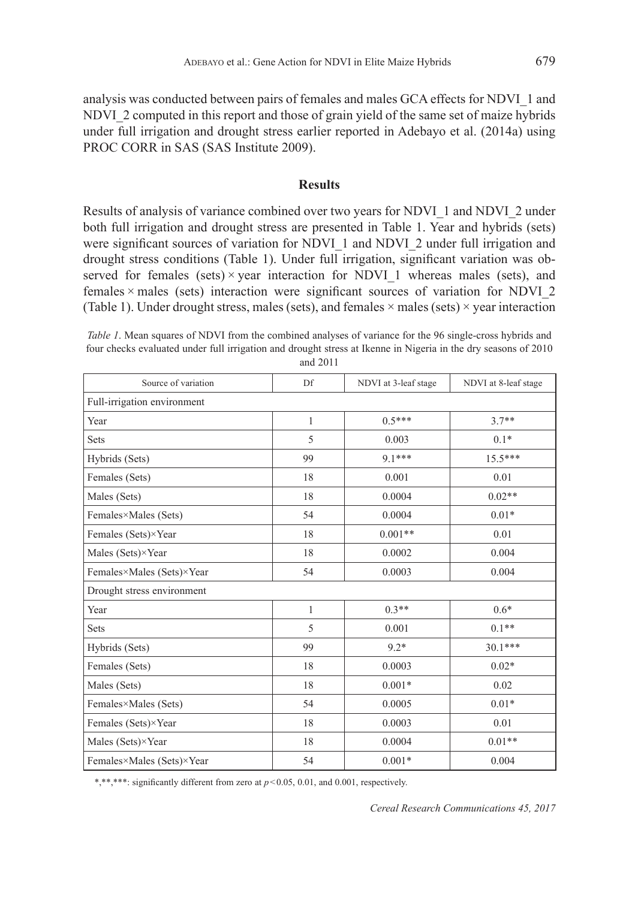analysis was conducted between pairs of females and males GCA effects for NDVI\_1 and NDVI\_2 computed in this report and those of grain yield of the same set of maize hybrids under full irrigation and drought stress earlier reported in Adebayo et al. (2014a) using PROC CORR in SAS (SAS Institute 2009).

### **Results**

Results of analysis of variance combined over two years for NDVI\_1 and NDVI\_2 under both full irrigation and drought stress are presented in Table 1. Year and hybrids (sets) were significant sources of variation for NDVI\_1 and NDVI\_2 under full irrigation and drought stress conditions (Table 1). Under full irrigation, significant variation was observed for females (sets) $\times$  year interaction for NDVI 1 whereas males (sets), and females $\times$  males (sets) interaction were significant sources of variation for NDVI 2 (Table 1). Under drought stress, males (sets), and females  $\times$  males (sets) $\times$ *year interaction* 

*Table 1*. Mean squares of NDVI from the combined analyses of variance for the 96 single-cross hybrids and four checks evaluated under full irrigation and drought stress at Ikenne in Nigeria in the dry seasons of 2010 and 2011

| Source of variation         | Df | NDVI at 3-leaf stage | NDVI at 8-leaf stage |  |  |  |  |
|-----------------------------|----|----------------------|----------------------|--|--|--|--|
| Full-irrigation environment |    |                      |                      |  |  |  |  |
| Year                        | 1  | $0.5***$             | $3.7**$              |  |  |  |  |
| Sets                        | 5  | 0.003                | $0.1*$               |  |  |  |  |
| Hybrids (Sets)              | 99 | $91***$              | $15.5***$            |  |  |  |  |
| Females (Sets)              | 18 | 0.001                | 0.01                 |  |  |  |  |
| Males (Sets)                | 18 | 0.0004               | $0.02**$             |  |  |  |  |
| Females×Males (Sets)        | 54 | 0.0004               | $0.01*$              |  |  |  |  |
| Females (Sets)×Year         | 18 | $0.001**$            | 0.01                 |  |  |  |  |
| Males (Sets)×Year           | 18 | 0.0002               | 0.004                |  |  |  |  |
| Females×Males (Sets)×Year   | 54 | 0.0003               | 0.004                |  |  |  |  |
| Drought stress environment  |    |                      |                      |  |  |  |  |
| Year                        | 1  | $0.3**$              | $0.6*$               |  |  |  |  |
| Sets                        | 5  | 0.001                | $0.1**$              |  |  |  |  |
| Hybrids (Sets)              | 99 | $9.2*$               | $30.1***$            |  |  |  |  |
| Females (Sets)              | 18 | 0.0003               | $0.02*$              |  |  |  |  |
| Males (Sets)                | 18 | $0.001*$             | 0.02                 |  |  |  |  |
| Females×Males (Sets)        | 54 | 0.0005               | $0.01*$              |  |  |  |  |
| Females (Sets)×Year         | 18 | 0.0003               | 0.01                 |  |  |  |  |
| Males (Sets)×Year           | 18 | 0.0004               | $0.01**$             |  |  |  |  |
| Females×Males (Sets)×Year   | 54 | $0.001*$             | 0.004                |  |  |  |  |

\*,\*\*\*\*: significantly different from zero at  $p \le 0.05$ , 0.01, and 0.001, respectively.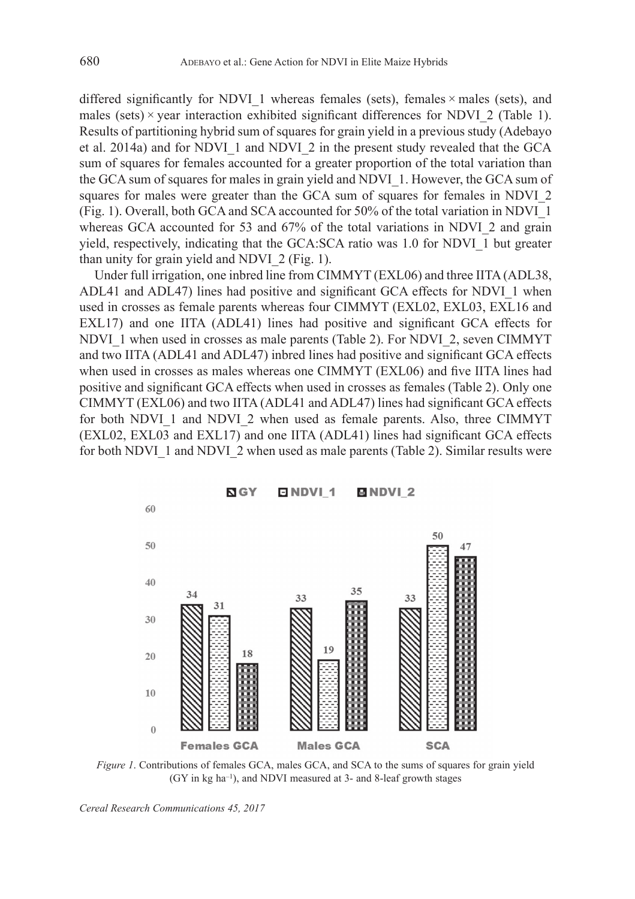differed significantly for NDVI\_1 whereas females (sets), females  $\times$  males (sets), and males (sets) $\times$ *year interaction exhibited significant differences for NDVI* 2 (Table 1). Results of partitioning hybrid sum of squares for grain yield in a previous study (Adebayo et al. 2014a) and for NDVI\_1 and NDVI\_2 in the present study revealed that the GCA sum of squares for females accounted for a greater proportion of the total variation than the GCA sum of squares for males in grain yield and NDVI\_1. However, the GCA sum of squares for males were greater than the GCA sum of squares for females in NDVI\_2 (Fig. 1). Overall, both GCA and SCA accounted for 50% of the total variation in NDVI\_1 whereas GCA accounted for 53 and 67% of the total variations in NDVI 2 and grain yield, respectively, indicating that the GCA:SCA ratio was 1.0 for NDVI\_1 but greater than unity for grain yield and NDVI\_2 (Fig. 1).

Under full irrigation, one inbred line from CIMMYT (EXL06) and three IITA (ADL38, ADL41 and ADL47) lines had positive and significant GCA effects for NDVI\_1 when used in crosses as female parents whereas four CIMMYT (EXL02, EXL03, EXL16 and EXL17) and one IITA (ADL41) lines had positive and significant GCA effects for NDVI\_1 when used in crosses as male parents (Table 2). For NDVI\_2, seven CIMMYT and two IITA (ADL41 and ADL47) inbred lines had positive and significant GCA effects when used in crosses as males whereas one CIMMYT (EXL06) and five IITA lines had positive and significant GCA effects when used in crosses as females (Table 2). Only one CIMMYT (EXL06) and two IITA (ADL41 and ADL47) lines had significant GCA effects for both NDVI\_1 and NDVI\_2 when used as female parents. Also, three CIMMYT (EXL02, EXL03 and EXL17) and one IITA (ADL41) lines had significant GCA effects for both NDVI\_1 and NDVI\_2 when used as male parents (Table 2). Similar results were



*Figure 1*. Contributions of females GCA, males GCA, and SCA to the sums of squares for grain yield  $(GY \in \text{kg ha}^{-1})$ , and NDVI measured at 3- and 8-leaf growth stages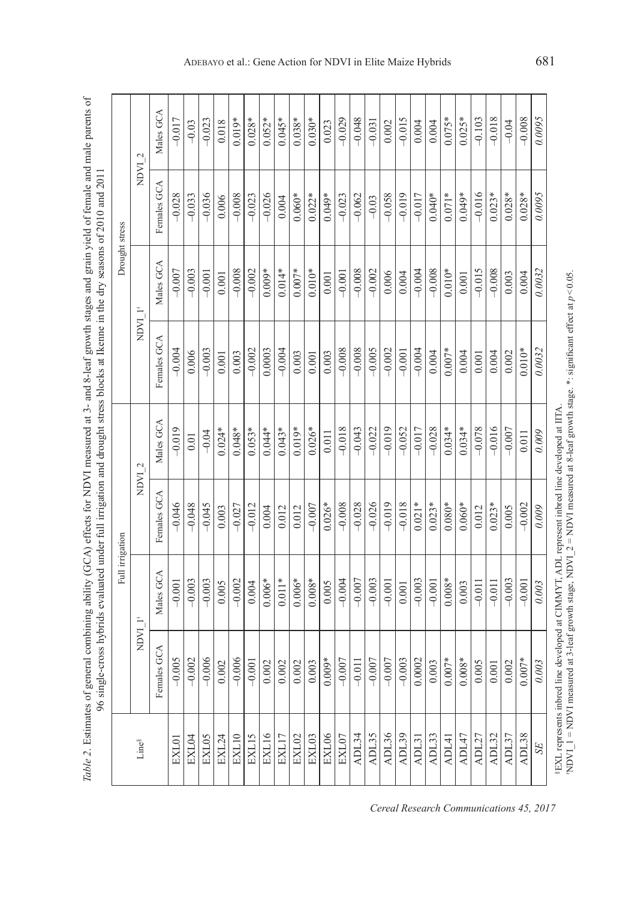| ï<br>$\ddot{\phantom{0}}$<br>š | $\frac{1}{2}$<br>:<br>i<br>⋾<br>֦<br>נ<br>ל |
|--------------------------------|---------------------------------------------|
|                                |                                             |
| i<br>i<br>į<br>ļ<br>j<br>Iable | j<br>y<br>ì                                 |

| Males GCA<br>0.0095<br>$0.028*$<br>$0.030*$<br>$-0.029$<br>$-0.048$<br>$-0.015$<br>$-0.018$<br>$-0.017$<br>$0.045*$<br>$-0.103$<br>$-0.008$<br>$0.019*$<br>$0.052*$<br>$0.038*$<br>$0.075*$<br>$0.025*$<br>$-0.023$<br>$-0.031$<br>$-0.04$<br>$-0.03$<br>0.018<br>0.023<br>0.002<br>0.004<br>0.004<br>NDVI <sub>2</sub><br>Females GCA<br>$-0.016$<br>$-0.019$<br>0.0095<br>$0.022*$<br>$-0.062$<br>$-0.058$<br>$-0.017$<br>$0.040*$<br>$0.071*$<br>$-0.028$<br>$-0.033$<br>$-0.036$<br>$-0.008$<br>$-0.023$<br>$-0.026$<br>$0.060*$<br>$0.049*$<br>$-0.023$<br>$0.049*$<br>$0.023*$<br>$0.028*$<br>$0.028*$<br>$-0.03$<br>0.006<br>0.004<br>Males GCA<br>$0.010*$<br>$-0.008$<br>$-0.002$<br>$-0.004$<br>$-0.008$<br>$-0.015$<br>0.0032<br>$-0.003$<br>$-0.008$<br>$-0.002$<br>$0.014*$<br>$0.010*$<br>$-0.008$<br>$-0.007$<br>$-0.001$<br>$0.009*$<br>$0.007*$<br>0.006<br>$-0.001$<br>0.004<br>0.003<br>0.001<br>0.001<br>0.001<br>0.004<br>NDVI 1'<br>Females GCA<br>0.0032<br>$-0.008$<br>$-0.008$<br>$-0.005$<br>$-0.002$<br>$-0.004$<br>$-0.002$<br>$-0.004$<br>$-0.004$<br>0.0003<br>$0.007*$<br>$0.010*$<br>$-0.001$<br>$-0.003$<br>0.006<br>0.004<br>0.002<br>0.003<br>0.003<br>0.003<br>0.004<br>0.004<br>0.001<br>0.001<br>0.001<br>Males GCA<br>$-0.018$<br>$-0.019$<br>$-0.078$<br>$-0.019$<br>$0.053*$<br>$0.043*$<br>$0.026*$<br>$-0.043$<br>$-0.022$<br>$-0.052$<br>$-0.017$<br>$-0.028$<br>$0.034*$<br>$0.034*$<br>$-0.016$<br>$0.024*$<br>$-0.007$<br>$0.048*$<br>$0.044*$<br>$0.019*$<br>0.009<br>$-0.04$<br>0.011<br>0.011<br>$0.01\,$<br>NDVI <sub>2</sub><br>$-0.008$<br>$-0.026$<br>$-0.019$<br>$-0.018$<br>$-0.046$<br>$-0.007$<br>$-0.028$<br>$0.021*$<br>$0.023*$<br>$-0.048$<br>$-0.012$<br>$0.026*$<br>$0.080*$<br>$0.060*$<br>$-0.002$<br>$-0.045$<br>$0.023*$<br>$-0.027$<br>0.009<br>0.012<br>0.012<br>0.005<br>0.003<br>0.012<br>$0.004$ |                          | Full irrigation |             |  | Drought stress |  |
|---------------------------------------------------------------------------------------------------------------------------------------------------------------------------------------------------------------------------------------------------------------------------------------------------------------------------------------------------------------------------------------------------------------------------------------------------------------------------------------------------------------------------------------------------------------------------------------------------------------------------------------------------------------------------------------------------------------------------------------------------------------------------------------------------------------------------------------------------------------------------------------------------------------------------------------------------------------------------------------------------------------------------------------------------------------------------------------------------------------------------------------------------------------------------------------------------------------------------------------------------------------------------------------------------------------------------------------------------------------------------------------------------------------------------------------------------------------------------------------------------------------------------------------------------------------------------------------------------------------------------------------------------------------------------------------------------------------------------------------------------------------------------------------------------------------------------------------------------------------------------|--------------------------|-----------------|-------------|--|----------------|--|
|                                                                                                                                                                                                                                                                                                                                                                                                                                                                                                                                                                                                                                                                                                                                                                                                                                                                                                                                                                                                                                                                                                                                                                                                                                                                                                                                                                                                                                                                                                                                                                                                                                                                                                                                                                                                                                                                           | T LACIN                  |                 |             |  |                |  |
|                                                                                                                                                                                                                                                                                                                                                                                                                                                                                                                                                                                                                                                                                                                                                                                                                                                                                                                                                                                                                                                                                                                                                                                                                                                                                                                                                                                                                                                                                                                                                                                                                                                                                                                                                                                                                                                                           | Males GCA<br>Females GCA |                 | Females GCA |  |                |  |
|                                                                                                                                                                                                                                                                                                                                                                                                                                                                                                                                                                                                                                                                                                                                                                                                                                                                                                                                                                                                                                                                                                                                                                                                                                                                                                                                                                                                                                                                                                                                                                                                                                                                                                                                                                                                                                                                           | $-0.001$<br>$-0.005$     |                 |             |  |                |  |
|                                                                                                                                                                                                                                                                                                                                                                                                                                                                                                                                                                                                                                                                                                                                                                                                                                                                                                                                                                                                                                                                                                                                                                                                                                                                                                                                                                                                                                                                                                                                                                                                                                                                                                                                                                                                                                                                           | $-0.003$<br>$-0.002$     |                 |             |  |                |  |
|                                                                                                                                                                                                                                                                                                                                                                                                                                                                                                                                                                                                                                                                                                                                                                                                                                                                                                                                                                                                                                                                                                                                                                                                                                                                                                                                                                                                                                                                                                                                                                                                                                                                                                                                                                                                                                                                           | $-0.003$<br>$-0.006$     |                 |             |  |                |  |
|                                                                                                                                                                                                                                                                                                                                                                                                                                                                                                                                                                                                                                                                                                                                                                                                                                                                                                                                                                                                                                                                                                                                                                                                                                                                                                                                                                                                                                                                                                                                                                                                                                                                                                                                                                                                                                                                           | 0.005<br>0.002           |                 |             |  |                |  |
|                                                                                                                                                                                                                                                                                                                                                                                                                                                                                                                                                                                                                                                                                                                                                                                                                                                                                                                                                                                                                                                                                                                                                                                                                                                                                                                                                                                                                                                                                                                                                                                                                                                                                                                                                                                                                                                                           | $-0.002$<br>$-0.006$     |                 |             |  |                |  |
|                                                                                                                                                                                                                                                                                                                                                                                                                                                                                                                                                                                                                                                                                                                                                                                                                                                                                                                                                                                                                                                                                                                                                                                                                                                                                                                                                                                                                                                                                                                                                                                                                                                                                                                                                                                                                                                                           | 0.004<br>$-0.001$        |                 |             |  |                |  |
|                                                                                                                                                                                                                                                                                                                                                                                                                                                                                                                                                                                                                                                                                                                                                                                                                                                                                                                                                                                                                                                                                                                                                                                                                                                                                                                                                                                                                                                                                                                                                                                                                                                                                                                                                                                                                                                                           | $0.006*$<br>$0.002$      |                 |             |  |                |  |
|                                                                                                                                                                                                                                                                                                                                                                                                                                                                                                                                                                                                                                                                                                                                                                                                                                                                                                                                                                                                                                                                                                                                                                                                                                                                                                                                                                                                                                                                                                                                                                                                                                                                                                                                                                                                                                                                           | $0.011*$<br>0.002        |                 |             |  |                |  |
|                                                                                                                                                                                                                                                                                                                                                                                                                                                                                                                                                                                                                                                                                                                                                                                                                                                                                                                                                                                                                                                                                                                                                                                                                                                                                                                                                                                                                                                                                                                                                                                                                                                                                                                                                                                                                                                                           | $0.006*$<br>0.002        |                 |             |  |                |  |
|                                                                                                                                                                                                                                                                                                                                                                                                                                                                                                                                                                                                                                                                                                                                                                                                                                                                                                                                                                                                                                                                                                                                                                                                                                                                                                                                                                                                                                                                                                                                                                                                                                                                                                                                                                                                                                                                           | $0.008*$<br>0.003        |                 |             |  |                |  |
|                                                                                                                                                                                                                                                                                                                                                                                                                                                                                                                                                                                                                                                                                                                                                                                                                                                                                                                                                                                                                                                                                                                                                                                                                                                                                                                                                                                                                                                                                                                                                                                                                                                                                                                                                                                                                                                                           | 0.005<br>$0.009*$        |                 |             |  |                |  |
|                                                                                                                                                                                                                                                                                                                                                                                                                                                                                                                                                                                                                                                                                                                                                                                                                                                                                                                                                                                                                                                                                                                                                                                                                                                                                                                                                                                                                                                                                                                                                                                                                                                                                                                                                                                                                                                                           | $-0.004$<br>$-0.007$     |                 |             |  |                |  |
|                                                                                                                                                                                                                                                                                                                                                                                                                                                                                                                                                                                                                                                                                                                                                                                                                                                                                                                                                                                                                                                                                                                                                                                                                                                                                                                                                                                                                                                                                                                                                                                                                                                                                                                                                                                                                                                                           | $-0.007$<br>$-0.011$     |                 |             |  |                |  |
|                                                                                                                                                                                                                                                                                                                                                                                                                                                                                                                                                                                                                                                                                                                                                                                                                                                                                                                                                                                                                                                                                                                                                                                                                                                                                                                                                                                                                                                                                                                                                                                                                                                                                                                                                                                                                                                                           | $-0.003$<br>$-0.007$     |                 |             |  |                |  |
|                                                                                                                                                                                                                                                                                                                                                                                                                                                                                                                                                                                                                                                                                                                                                                                                                                                                                                                                                                                                                                                                                                                                                                                                                                                                                                                                                                                                                                                                                                                                                                                                                                                                                                                                                                                                                                                                           | $-0.001$<br>$-0.007$     |                 |             |  |                |  |
|                                                                                                                                                                                                                                                                                                                                                                                                                                                                                                                                                                                                                                                                                                                                                                                                                                                                                                                                                                                                                                                                                                                                                                                                                                                                                                                                                                                                                                                                                                                                                                                                                                                                                                                                                                                                                                                                           | 0.001<br>$-0.003$        |                 |             |  |                |  |
|                                                                                                                                                                                                                                                                                                                                                                                                                                                                                                                                                                                                                                                                                                                                                                                                                                                                                                                                                                                                                                                                                                                                                                                                                                                                                                                                                                                                                                                                                                                                                                                                                                                                                                                                                                                                                                                                           | $-0.003$<br>0.0002       |                 |             |  |                |  |
|                                                                                                                                                                                                                                                                                                                                                                                                                                                                                                                                                                                                                                                                                                                                                                                                                                                                                                                                                                                                                                                                                                                                                                                                                                                                                                                                                                                                                                                                                                                                                                                                                                                                                                                                                                                                                                                                           | $-0.001$<br>0.003        |                 |             |  |                |  |
|                                                                                                                                                                                                                                                                                                                                                                                                                                                                                                                                                                                                                                                                                                                                                                                                                                                                                                                                                                                                                                                                                                                                                                                                                                                                                                                                                                                                                                                                                                                                                                                                                                                                                                                                                                                                                                                                           | $0.008*$<br>$0.007*$     |                 |             |  |                |  |
|                                                                                                                                                                                                                                                                                                                                                                                                                                                                                                                                                                                                                                                                                                                                                                                                                                                                                                                                                                                                                                                                                                                                                                                                                                                                                                                                                                                                                                                                                                                                                                                                                                                                                                                                                                                                                                                                           | 0.003<br>$0.008*$        |                 |             |  |                |  |
|                                                                                                                                                                                                                                                                                                                                                                                                                                                                                                                                                                                                                                                                                                                                                                                                                                                                                                                                                                                                                                                                                                                                                                                                                                                                                                                                                                                                                                                                                                                                                                                                                                                                                                                                                                                                                                                                           | $-0.011$<br>0.005        |                 |             |  |                |  |
|                                                                                                                                                                                                                                                                                                                                                                                                                                                                                                                                                                                                                                                                                                                                                                                                                                                                                                                                                                                                                                                                                                                                                                                                                                                                                                                                                                                                                                                                                                                                                                                                                                                                                                                                                                                                                                                                           | $-0.011$<br>$0.001\,$    |                 |             |  |                |  |
|                                                                                                                                                                                                                                                                                                                                                                                                                                                                                                                                                                                                                                                                                                                                                                                                                                                                                                                                                                                                                                                                                                                                                                                                                                                                                                                                                                                                                                                                                                                                                                                                                                                                                                                                                                                                                                                                           | $-0.003$<br>0.002        |                 |             |  |                |  |
|                                                                                                                                                                                                                                                                                                                                                                                                                                                                                                                                                                                                                                                                                                                                                                                                                                                                                                                                                                                                                                                                                                                                                                                                                                                                                                                                                                                                                                                                                                                                                                                                                                                                                                                                                                                                                                                                           | $-0.001$<br>$0.007*$     |                 |             |  |                |  |
|                                                                                                                                                                                                                                                                                                                                                                                                                                                                                                                                                                                                                                                                                                                                                                                                                                                                                                                                                                                                                                                                                                                                                                                                                                                                                                                                                                                                                                                                                                                                                                                                                                                                                                                                                                                                                                                                           | 0.003<br>0.003           |                 |             |  |                |  |

**EXL** represents inheed line developed at CIMMYT, ADL represent inheed line developed at IITA.<br>NDVI\_I = NDVI measured at 3-leaf growth stage, NDVI\_2 = NDVI measured at 8-leaf growth stage. \*: significant effect at  $p<0.05$ NDVI\_1 = NDVI measured at 3-leaf growth stage, NDVI\_2 = NDVI measured at 8-leaf growth stage.  $*$ : significant effect at  $p < 0.05$ . §EXL represents inbred line developed at CIMMYT, ADL represent inbred line developed at IITA.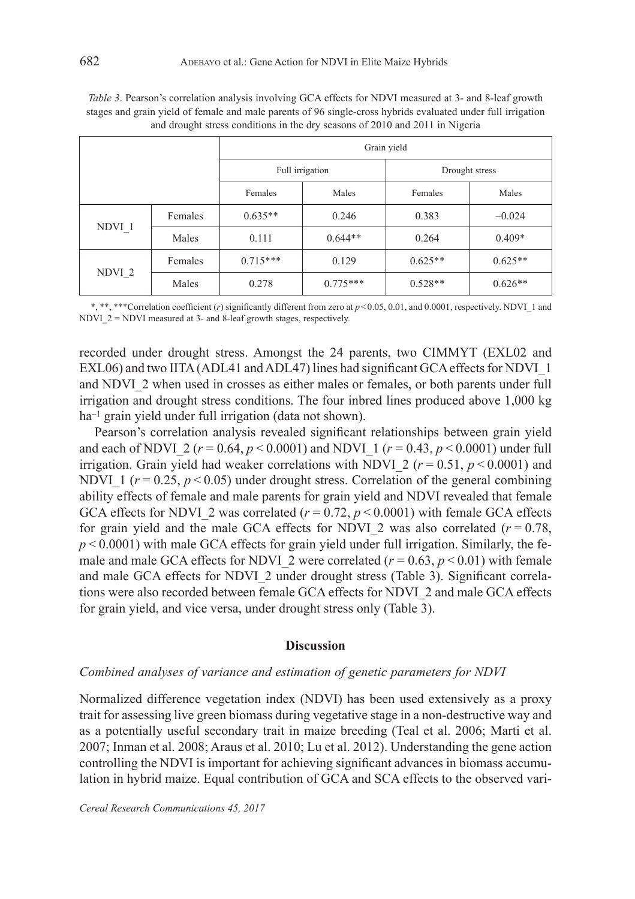|                   |         | Grain yield |                 |                |           |
|-------------------|---------|-------------|-----------------|----------------|-----------|
|                   |         |             | Full irrigation | Drought stress |           |
|                   |         | Females     | Males           | Females        | Males     |
| NDVI <sub>1</sub> | Females | $0.635**$   | 0.246           | 0.383          | $-0.024$  |
|                   | Males   | 0.111       | $0.644**$       | 0.264          | $0.409*$  |
| $NDVI_2$          | Females | $0.715***$  | 0.129           | $0.625**$      | $0.625**$ |
|                   | Males   | 0.278       | $0.775***$      | $0.528**$      | $0.626**$ |

*Table 3*. Pearson's correlation analysis involving GCA effects for NDVI measured at 3- and 8-leaf growth stages and grain yield of female and male parents of 96 single-cross hybrids evaluated under full irrigation and drought stress conditions in the dry seasons of 2010 and 2011 in Nigeria

\*, \*\*, \*\*\*Correlation coefficient (*r*) significantly different from zero at  $p<0.05, 0.01$ , and 0.0001, respectively. NDVI\_1 and NDVI\_2 = NDVI measured at 3- and 8-leaf growth stages, respectively.

recorded under drought stress. Amongst the 24 parents, two CIMMYT (EXL02 and EXL06) and two IITA (ADL41 and ADL47) lines had significant GCA effects for NDVI\_1 and NDVI\_2 when used in crosses as either males or females, or both parents under full irrigation and drought stress conditions. The four inbred lines produced above 1,000 kg ha<sup>-1</sup> grain yield under full irrigation (data not shown).

Pearson's correlation analysis revealed significant relationships between grain yield and each of NDVI\_2 (*r* = 0.64, *p* < 0.0001) and NDVI\_1 (*r* = 0.43, *p* < 0.0001) under full irrigation. Grain yield had weaker correlations with NDVI 2 ( $r$  = 0.51,  $p$  < 0.0001) and NDVI 1 ( $r = 0.25$ ,  $p \le 0.05$ ) under drought stress. Correlation of the general combining ability effects of female and male parents for grain yield and NDVI revealed that female GCA effects for NDVI\_2 was correlated  $(r = 0.72, p < 0.0001)$  with female GCA effects for grain yield and the male GCA effects for NDVI<sub>\_2</sub> was also correlated  $(r = 0.78,$  $p$ <sup> $\leq$ </sup> $0.0001$ ) with male GCA effects for grain yield under full irrigation. Similarly, the female and male GCA effects for NDVI\_2 were correlated  $(r = 0.63, p < 0.01)$  with female and male GCA effects for NDVI\_2 under drought stress (Table 3). Significant correlations were also recorded between female GCA effects for NDVI\_2 and male GCA effects for grain yield, and vice versa, under drought stress only (Table 3).

#### **Discussion**

#### *Combined analyses of variance and estimation of genetic parameters for NDVI*

Normalized difference vegetation index (NDVI) has been used extensively as a proxy trait for assessing live green biomass during vegetative stage in a non-destructive way and as a potentially useful secondary trait in maize breeding (Teal et al. 2006; Marti et al. 2007; Inman et al. 2008; Araus et al. 2010; Lu et al. 2012). Understanding the gene action controlling the NDVI is important for achieving significant advances in biomass accumulation in hybrid maize. Equal contribution of GCA and SCA effects to the observed vari-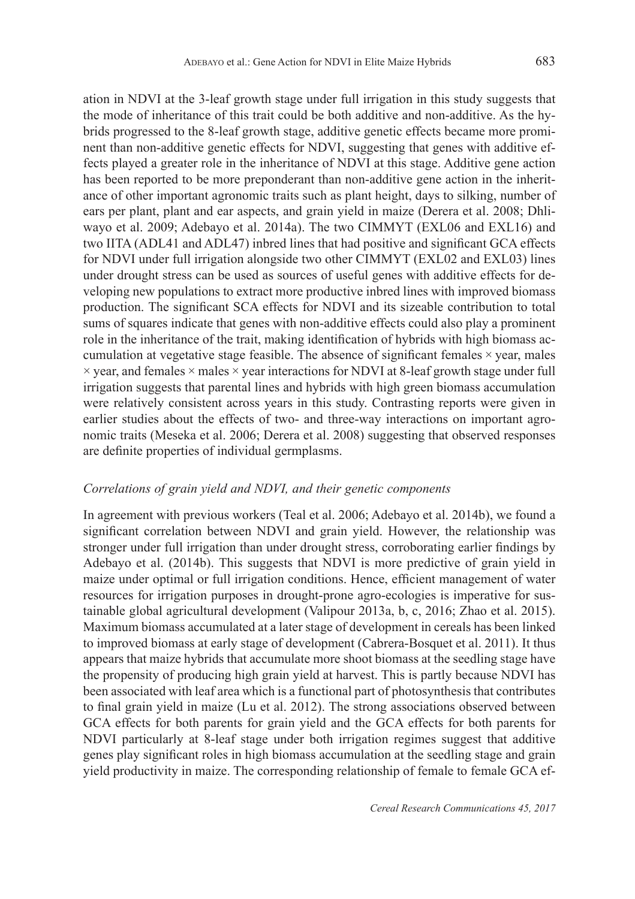ation in NDVI at the 3-leaf growth stage under full irrigation in this study suggests that the mode of inheritance of this trait could be both additive and non-additive. As the hybrids progressed to the 8-leaf growth stage, additive genetic effects became more prominent than non-additive genetic effects for NDVI, suggesting that genes with additive effects played a greater role in the inheritance of NDVI at this stage. Additive gene action has been reported to be more preponderant than non-additive gene action in the inheritance of other important agronomic traits such as plant height, days to silking, number of ears per plant, plant and ear aspects, and grain yield in maize (Derera et al. 2008; Dhliwayo et al. 2009; Adebayo et al. 2014a). The two CIMMYT (EXL06 and EXL16) and two IITA (ADL41 and ADL47) inbred lines that had positive and significant GCA effects for NDVI under full irrigation alongside two other CIMMYT (EXL02 and EXL03) lines under drought stress can be used as sources of useful genes with additive effects for developing new populations to extract more productive inbred lines with improved biomass production. The significant SCA effects for NDVI and its sizeable contribution to total sums of squares indicate that genes with non-additive effects could also play a prominent role in the inheritance of the trait, making identification of hybrids with high biomass accumulation at vegetative stage feasible. The absence of significant females $\times$ *year*, males × year, and females × males × year interactions for NDVI at 8-leaf growth stage under full irrigation suggests that parental lines and hybrids with high green biomass accumulation were relatively consistent across years in this study. Contrasting reports were given in earlier studies about the effects of two- and three-way interactions on important agronomic traits (Meseka et al. 2006; Derera et al. 2008) suggesting that observed responses are definite properties of individual germplasms.

## *Correlations of grain yield and NDVI, and their genetic components*

In agreement with previous workers (Teal et al. 2006; Adebayo et al. 2014b), we found a significant correlation between NDVI and grain yield. However, the relationship was stronger under full irrigation than under drought stress, corroborating earlier findings by Adebayo et al. (2014b). This suggests that NDVI is more predictive of grain yield in maize under optimal or full irrigation conditions. Hence, efficient management of water resources for irrigation purposes in drought-prone agro-ecologies is imperative for sustainable global agricultural development (Valipour 2013a, b, c, 2016; Zhao et al. 2015). Maximum biomass accumulated at a later stage of development in cereals has been linked to improved biomass at early stage of development (Cabrera-Bosquet et al. 2011). It thus appears that maize hybrids that accumulate more shoot biomass at the seedling stage have the propensity of producing high grain yield at harvest. This is partly because NDVI has been associated with leaf area which is a functional part of photosynthesis that contributes to final grain yield in maize (Lu et al. 2012). The strong associations observed between GCA effects for both parents for grain yield and the GCA effects for both parents for NDVI particularly at 8-leaf stage under both irrigation regimes suggest that additive genes play significant roles in high biomass accumulation at the seedling stage and grain yield productivity in maize. The corresponding relationship of female to female GCA ef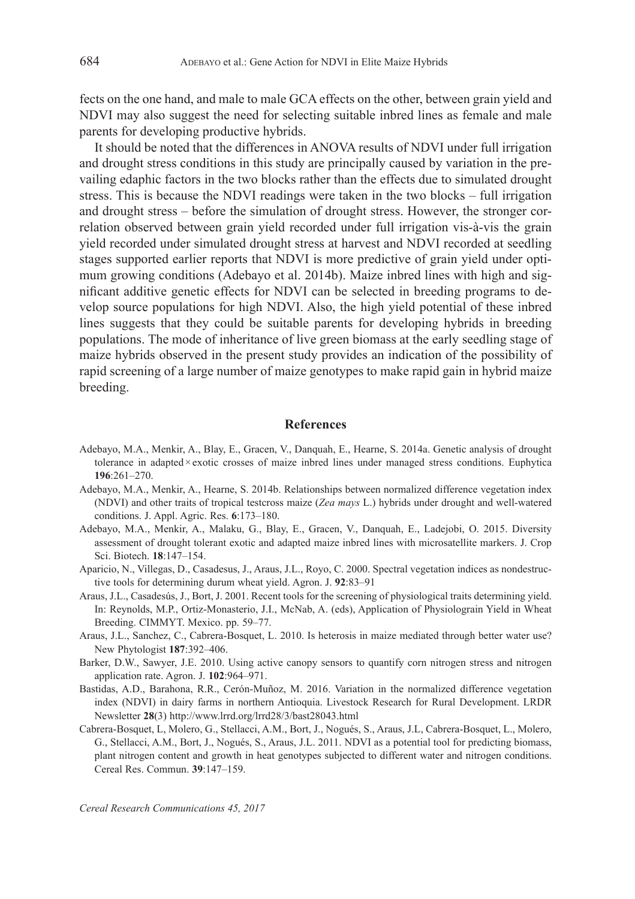fects on the one hand, and male to male GCA effects on the other, between grain yield and NDVI may also suggest the need for selecting suitable inbred lines as female and male parents for developing productive hybrids.

It should be noted that the differences in ANOVA results of NDVI under full irrigation and drought stress conditions in this study are principally caused by variation in the prevailing edaphic factors in the two blocks rather than the effects due to simulated drought stress. This is because the NDVI readings were taken in the two blocks – full irrigation and drought stress – before the simulation of drought stress. However, the stronger correlation observed between grain yield recorded under full irrigation vis-à-vis the grain yield recorded under simulated drought stress at harvest and NDVI recorded at seedling stages supported earlier reports that NDVI is more predictive of grain yield under optimum growing conditions (Adebayo et al. 2014b). Maize inbred lines with high and significant additive genetic effects for NDVI can be selected in breeding programs to develop source populations for high NDVI. Also, the high yield potential of these inbred lines suggests that they could be suitable parents for developing hybrids in breeding populations. The mode of inheritance of live green biomass at the early seedling stage of maize hybrids observed in the present study provides an indication of the possibility of rapid screening of a large number of maize genotypes to make rapid gain in hybrid maize breeding.

#### **References**

- Adebayo, M.A., Menkir, A., Blay, E., Gracen, V., Danquah, E., Hearne, S. 2014a. Genetic analysis of drought tolerance in adapted×exotic crosses of maize inbred lines under managed stress conditions. Euphytica **196**:261–270.
- Adebayo, M.A., Menkir, A., Hearne, S. 2014b. Relationships between normalized difference vegetation index (NDVI) and other traits of tropical testcross maize (*Zea mays* L.) hybrids under drought and well-watered conditions. J. Appl. Agric. Res. **6**:173–180.
- Adebayo, M.A., Menkir, A., Malaku, G., Blay, E., Gracen, V., Danquah, E., Ladejobi, O. 2015. Diversity assessment of drought tolerant exotic and adapted maize inbred lines with microsatellite markers. J. Crop Sci. Biotech. **18**:147–154.
- Aparicio, N., Villegas, D., Casadesus, J., Araus, J.L., Royo, C. 2000. Spectral vegetation indices as nondestructive tools for determining durum wheat yield. Agron. J. **92**:83–91
- Araus, J.L., Casadesús, J., Bort, J. 2001. Recent tools for the screening of physiological traits determining yield. In: Reynolds, M.P., Ortiz-Monasterio, J.I., McNab, A. (eds), Application of Physiolograin Yield in Wheat Breeding. CIMMYT. Mexico. pp. 59–77.
- Araus, J.L., Sanchez, C., Cabrera-Bosquet, L. 2010. Is heterosis in maize mediated through better water use? New Phytologist **187**:392–406.
- Barker, D.W., Sawyer, J.E. 2010. Using active canopy sensors to quantify corn nitrogen stress and nitrogen application rate. Agron. J. **102**:964–971.
- Bastidas, A.D., Barahona, R.R., Cerón-Muñoz, M. 2016. Variation in the normalized difference vegetation index (NDVI) in dairy farms in northern Antioquia. Livestock Research for Rural Development. LRDR Newsletter **28**(3) http://www.lrrd.org/lrrd28/3/bast28043.html
- Cabrera-Bosquet, L, Molero, G., Stellacci, A.M., Bort, J., Nogués, S., Araus, J.L, Cabrera-Bosquet, L., Molero, G., Stellacci, A.M., Bort, J., Nogués, S., Araus, J.L. 2011. NDVI as a potential tool for predicting biomass, plant nitrogen content and growth in heat genotypes subjected to different water and nitrogen conditions. Cereal Res. Commun. **39**:147–159.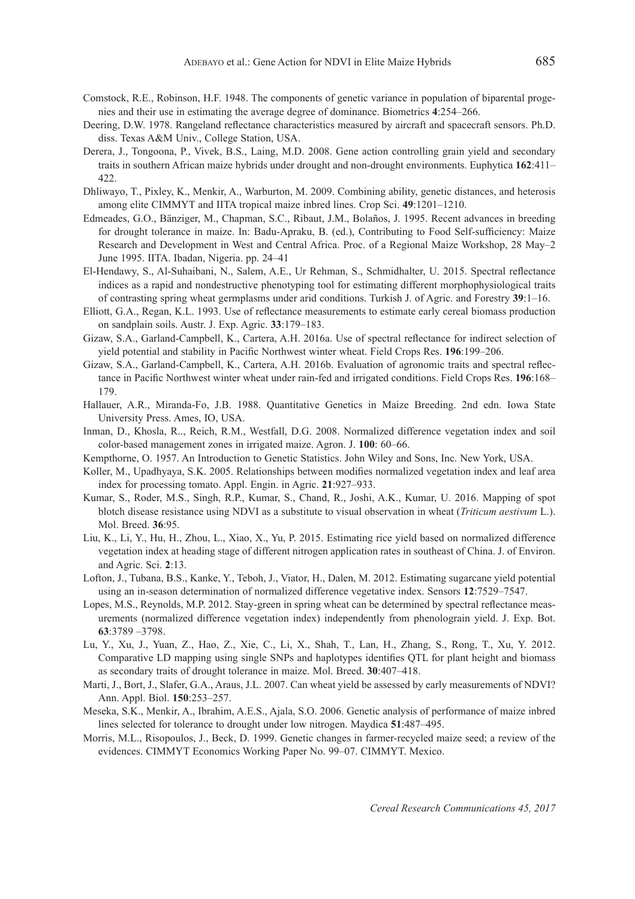- Comstock, R.E., Robinson, H.F. 1948. The components of genetic variance in population of biparental progenies and their use in estimating the average degree of dominance. Biometrics **4**:254–266.
- Deering, D.W. 1978. Rangeland reflectance characteristics measured by aircraft and spacecraft sensors. Ph.D. diss. Texas A&M Univ., College Station, USA.
- Derera, J., Tongoona, P., Vivek, B.S., Laing, M.D. 2008. Gene action controlling grain yield and secondary traits in southern African maize hybrids under drought and non-drought environments. Euphytica **162**:411– 422.
- Dhliwayo, T., Pixley, K., Menkir, A., Warburton, M. 2009. Combining ability, genetic distances, and heterosis among elite CIMMYT and IITA tropical maize inbred lines. Crop Sci. **49**:1201–1210.
- Edmeades, G.O., Bänziger, M., Chapman, S.C., Ribaut, J.M., Bolaños, J. 1995. Recent advances in breeding for drought tolerance in maize. In: Badu-Apraku, B. (ed.), Contributing to Food Self-sufficiency: Maize Research and Development in West and Central Africa. Proc. of a Regional Maize Workshop, 28 May–2 June 1995. IITA. Ibadan, Nigeria. pp. 24–41
- El-Hendawy, S., Al-Suhaibani, N., Salem, A.E., Ur Rehman, S., Schmidhalter, U. 2015. Spectral reflectance indices as a rapid and nondestructive phenotyping tool for estimating different morphophysiological traits of contrasting spring wheat germplasms under arid conditions. Turkish J. of Agric. and Forestry **39**:1–16.
- Elliott, G.A., Regan, K.L. 1993. Use of reflectance measurements to estimate early cereal biomass production on sandplain soils. Austr. J. Exp. Agric. **33**:179–183.
- Gizaw, S.A., Garland-Campbell, K., Cartera, A.H. 2016a. Use of spectral reflectance for indirect selection of yield potential and stability in Pacific Northwest winter wheat. Field Crops Res. **196**:199–206.
- Gizaw, S.A., Garland-Campbell, K., Cartera, A.H. 2016b. Evaluation of agronomic traits and spectral reflectance in Pacific Northwest winter wheat under rain-fed and irrigated conditions. Field Crops Res. **196**:168– 179.
- Hallauer, A.R., Miranda-Fo, J.B. 1988. Quantitative Genetics in Maize Breeding. 2nd edn. Iowa State University Press. Ames, IO, USA.
- Inman, D., Khosla, R.., Reich, R.M., Westfall, D.G. 2008. Normalized difference vegetation index and soil color-based management zones in irrigated maize. Agron. J. **100**: 60–66.
- Kempthorne, O. 1957. An Introduction to Genetic Statistics. John Wiley and Sons, Inc. New York, USA.
- Koller, M., Upadhyaya, S.K. 2005. Relationships between modifies normalized vegetation index and leaf area index for processing tomato. Appl. Engin. in Agric. **21**:927–933.
- Kumar, S., Roder, M.S., Singh, R.P., Kumar, S., Chand, R., Joshi, A.K., Kumar, U. 2016. Mapping of spot blotch disease resistance using NDVI as a substitute to visual observation in wheat (*Triticum aestivum* L.). Mol. Breed. **36**:95.
- Liu, K., Li, Y., Hu, H., Zhou, L., Xiao, X., Yu, P. 2015. Estimating rice yield based on normalized difference vegetation index at heading stage of different nitrogen application rates in southeast of China. J. of Environ. and Agric. Sci. **2**:13.
- Lofton, J., Tubana, B.S., Kanke, Y., Teboh, J., Viator, H., Dalen, M. 2012. Estimating sugarcane yield potential using an in-season determination of normalized difference vegetative index. Sensors **12**:7529–7547.
- Lopes, M.S., Reynolds, M.P. 2012. Stay-green in spring wheat can be determined by spectral reflectance measurements (normalized difference vegetation index) independently from phenolograin yield. J. Exp. Bot. **63**:3789 –3798.
- Lu, Y., Xu, J., Yuan, Z., Hao, Z., Xie, C., Li, X., Shah, T., Lan, H., Zhang, S., Rong, T., Xu, Y. 2012. Comparative LD mapping using single SNPs and haplotypes identifies QTL for plant height and biomass as secondary traits of drought tolerance in maize. Mol. Breed. **30**:407–418.
- Marti, J., Bort, J., Slafer, G.A., Araus, J.L. 2007. Can wheat yield be assessed by early measurements of NDVI? Ann. Appl. Biol. **150**:253–257.
- Meseka, S.K., Menkir, A., Ibrahim, A.E.S., Ajala, S.O. 2006. Genetic analysis of performance of maize inbred lines selected for tolerance to drought under low nitrogen. Maydica **51**:487–495.
- Morris, M.L., Risopoulos, J., Beck, D. 1999. Genetic changes in farmer-recycled maize seed; a review of the evidences. CIMMYT Economics Working Paper No. 99–07. CIMMYT. Mexico.